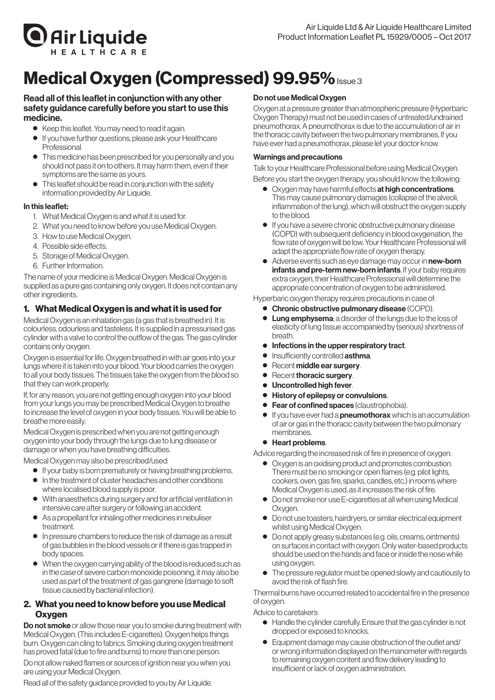

# Medical Oxygen (Compressed) 99.95% Issue 3

## Read all of this leaflet in conjunction with any other safety guidance carefully before you start to use this medicine.

- Keep this leaflet. You may need to read it again.
- If you have further questions, please ask your Healthcare **Professional**
- This medicine has been prescribed for you personally and you should not pass it on to others. Itmay harmthem, even if their symptoms are the same as yours.
- This leaflet should be read in conjunction with the safety information provided by Air Liquide.

## In this leaflet:

- 1. What Medical Oxygen is and what it is used for.
- 2. What you need to know before you use Medical Oxygen.
- 3. How to use Medical Oxygen.
- 4. Possible side effects.
- 5. Storage of Medical Oxygen.
- 6. Further Information.

The name of your medicine is Medical Oxygen. Medical Oxygen is supplied as a pure gas containing only oxygen. It does not contain any other ingredients.

# 1. What Medical Oxygen is and what it is used for

Medical Oxygen is an inhalation gas (a gas that is breathed in). It is colourless, odourless and tasteless. It is supplied in a pressurised gas cylinder with a valve to control the outflow of the gas. The gas cylinder contains only oxygen.

Oxygen is essential for life. Oxygen breathed in with air goes into your lungs where it is taken into your blood.Your blood carries the oxygen to all your body tissues. The tissues take the oxygen fromthe blood so that they can work properly.

If, for any reason, you are not getting enough oxygen into your blood from your lungs you may be prescribed Medical Oxygen to breathe to increase the level of oxygen in your body tissues.You will be able to breathemore easily.

Medical Oxygen is prescribed when you are not getting enough oxygen into your body through the lungs due to lung disease or damage or when you have breathing difficulties.

Medical Oxygenmay also be prescribed/used:

- If your baby is born prematurely or having breathing problems.
- In the treatment of cluster headaches and other conditions where localised blood supply is poor.
- With anaesthetics during surgery and for artificial ventilation in intensive care after surgery or following an accident.
- As a propellant for inhaling other medicines in nebuliser treatment.
- ● In pressure chambers to reduce the risk of damage as a result of gas bubbles in the blood vessels orif there is gas trapped in body spaces.
- When the oxygen carrying ability of the blood is reduced such as in the case of severe carbon monoxide poisoning, it may also be used as part of the treatment of gas gangrene (damage to soft tissue caused by bacterial infection).

# 2. What you need to know before you use Medical **Oxygen**

**Do not smoke** or allow those near you to smoke during treatment with Medical Oxygen. (This includes E-cigarettes). Oxygen helps things burn. Oxygen can cling to fabrics. Smoking during oxygen treatment has proved fatal (due to fire and burns) tomore than one person.

Do not allow naked flames or sources of ignition near you when you are using your Medical Oxygen.

Read all of the safety guidance provided to you by Air Liquide.

# Do not use Medical Oxygen

Oxygen at a pressure greater than atmospheric pressure (Hyperbaric Oxygen Therapy) must not be used in cases of untreated/undrained pneumothorax.Apneumothorax is due to the accumulation of airin the thoracic cavity between the two pulmonary membranes. If you have ever had a pneumothorax, please let your doctor know.

# Warnings and precautions

Talk to your Healthcare Professional before using Medical Oxygen.

Before you start the oxygen therapy, you should know the following:

- Oxygen may have harmful effects at high concentrations. Thismay cause pulmonary damages (collapse of the alveoli, inflammation of the lung), which will obstruct the oxygen supply to the blood.
- If you have a severe chronic obstructive pulmonary disease (COPD) with subsequent deficiency in blood oxygenation, the flow rate of oxygen will be low. Your Healthcare Professional will adapt the appropriate flow rate of oxygen therapy.
- Adverse events such as eye damage may occur in new-born infants and pre-term new-born infants. If your baby requires extra oxygen, their Healthcare Professional will determine the appropriate concentration of oxygen to be administered.

Hyperbaric oxygen therapy requires precautions in case of:

- Chronic obstructive pulmonary disease (COPD).
- Lung emphysema: a disorder of the lungs due to the loss of elasticity of lung tissue accompanied by (serious) shortness of breath.
- Infections in the upper respiratory tract.
- Insufficiently controlled asthma.
- Recent middle ear surgery.
- Recent thoracic surgery.
- Uncontrolled high fever.
- History of epilepsy or convulsions.
- Fear of confined spaces (claustrophobia).
- $\bullet$  If you have ever had a **pneumothorax** which is an accumulation of air or gas in the thoracic cavity between the two pulmonary membranes.
- Heart problems.

Advice regarding the increased risk of fire in presence of oxygen:

- ● Oxygen is an oxidising product and promotes combustion. Theremust be no smoking or open flames (e.g. pilot lights, cookers, oven, gas fire, sparks, candles, etc.) in rooms where Medical Oxygen is used, as it increases the risk of fire.
- Do not smoke nor use E-cigarettes at all when using Medical Oxygen.
- Do not use toasters, hairdryers, or similar electrical equipment whilst using Medical Oxygen.
- Do not apply greasy substances (e.g. oils, creams, ointments) on surfaces in contact with oxygen. Only water-based products should be used on the hands and face or inside the nose while using oxygen.
- The pressure regulator must be opened slowly and cautiously to avoid the risk of flash fire.

Thermal burns have occurred related to accidental fire in the presence of oxygen.

Advice to caretakers:

- Handle the cylinder carefully. Ensure that the gas cylinder is not dropped or exposed to knocks.
- Equipment damage may cause obstruction of the outlet and/ or wrong information displayed on themanometer with regards to remaining oxygen content and flow delivery leading to insufficient orlack of oxygen administration.